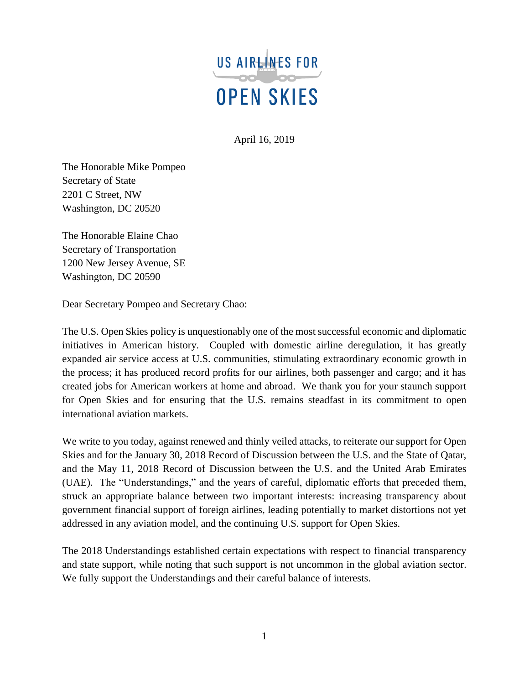

April 16, 2019

The Honorable Mike Pompeo Secretary of State 2201 C Street, NW Washington, DC 20520

The Honorable Elaine Chao Secretary of Transportation 1200 New Jersey Avenue, SE Washington, DC 20590

Dear Secretary Pompeo and Secretary Chao:

The U.S. Open Skies policy is unquestionably one of the most successful economic and diplomatic initiatives in American history. Coupled with domestic airline deregulation, it has greatly expanded air service access at U.S. communities, stimulating extraordinary economic growth in the process; it has produced record profits for our airlines, both passenger and cargo; and it has created jobs for American workers at home and abroad. We thank you for your staunch support for Open Skies and for ensuring that the U.S. remains steadfast in its commitment to open international aviation markets.

We write to you today, against renewed and thinly veiled attacks, to reiterate our support for Open Skies and for the January 30, 2018 Record of Discussion between the U.S. and the State of Qatar, and the May 11, 2018 Record of Discussion between the U.S. and the United Arab Emirates (UAE). The "Understandings," and the years of careful, diplomatic efforts that preceded them, struck an appropriate balance between two important interests: increasing transparency about government financial support of foreign airlines, leading potentially to market distortions not yet addressed in any aviation model, and the continuing U.S. support for Open Skies.

The 2018 Understandings established certain expectations with respect to financial transparency and state support, while noting that such support is not uncommon in the global aviation sector. We fully support the Understandings and their careful balance of interests.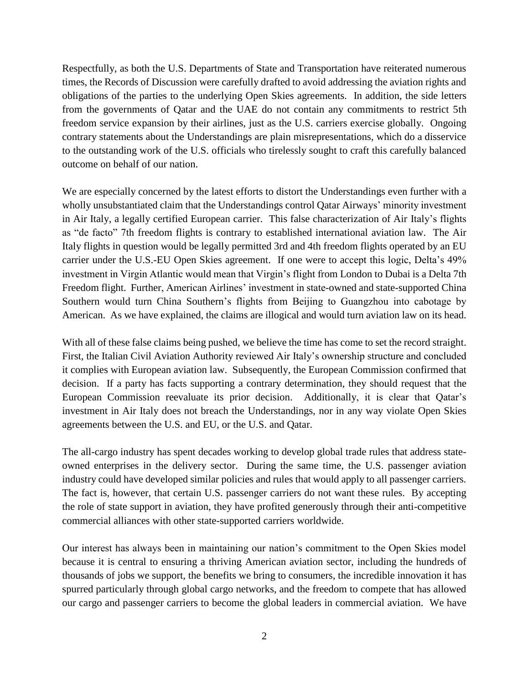Respectfully, as both the U.S. Departments of State and Transportation have reiterated numerous times, the Records of Discussion were carefully drafted to avoid addressing the aviation rights and obligations of the parties to the underlying Open Skies agreements. In addition, the side letters from the governments of Qatar and the UAE do not contain any commitments to restrict 5th freedom service expansion by their airlines, just as the U.S. carriers exercise globally. Ongoing contrary statements about the Understandings are plain misrepresentations, which do a disservice to the outstanding work of the U.S. officials who tirelessly sought to craft this carefully balanced outcome on behalf of our nation.

We are especially concerned by the latest efforts to distort the Understandings even further with a wholly unsubstantiated claim that the Understandings control Qatar Airways' minority investment in Air Italy, a legally certified European carrier. This false characterization of Air Italy's flights as "de facto" 7th freedom flights is contrary to established international aviation law. The Air Italy flights in question would be legally permitted 3rd and 4th freedom flights operated by an EU carrier under the U.S.-EU Open Skies agreement. If one were to accept this logic, Delta's 49% investment in Virgin Atlantic would mean that Virgin's flight from London to Dubai is a Delta 7th Freedom flight. Further, American Airlines' investment in state-owned and state-supported China Southern would turn China Southern's flights from Beijing to Guangzhou into cabotage by American. As we have explained, the claims are illogical and would turn aviation law on its head.

With all of these false claims being pushed, we believe the time has come to set the record straight. First, the Italian Civil Aviation Authority reviewed Air Italy's ownership structure and concluded it complies with European aviation law. Subsequently, the European Commission confirmed that decision. If a party has facts supporting a contrary determination, they should request that the European Commission reevaluate its prior decision. Additionally, it is clear that Qatar's investment in Air Italy does not breach the Understandings, nor in any way violate Open Skies agreements between the U.S. and EU, or the U.S. and Qatar.

The all-cargo industry has spent decades working to develop global trade rules that address stateowned enterprises in the delivery sector. During the same time, the U.S. passenger aviation industry could have developed similar policies and rules that would apply to all passenger carriers. The fact is, however, that certain U.S. passenger carriers do not want these rules. By accepting the role of state support in aviation, they have profited generously through their anti-competitive commercial alliances with other state-supported carriers worldwide.

Our interest has always been in maintaining our nation's commitment to the Open Skies model because it is central to ensuring a thriving American aviation sector, including the hundreds of thousands of jobs we support, the benefits we bring to consumers, the incredible innovation it has spurred particularly through global cargo networks, and the freedom to compete that has allowed our cargo and passenger carriers to become the global leaders in commercial aviation. We have